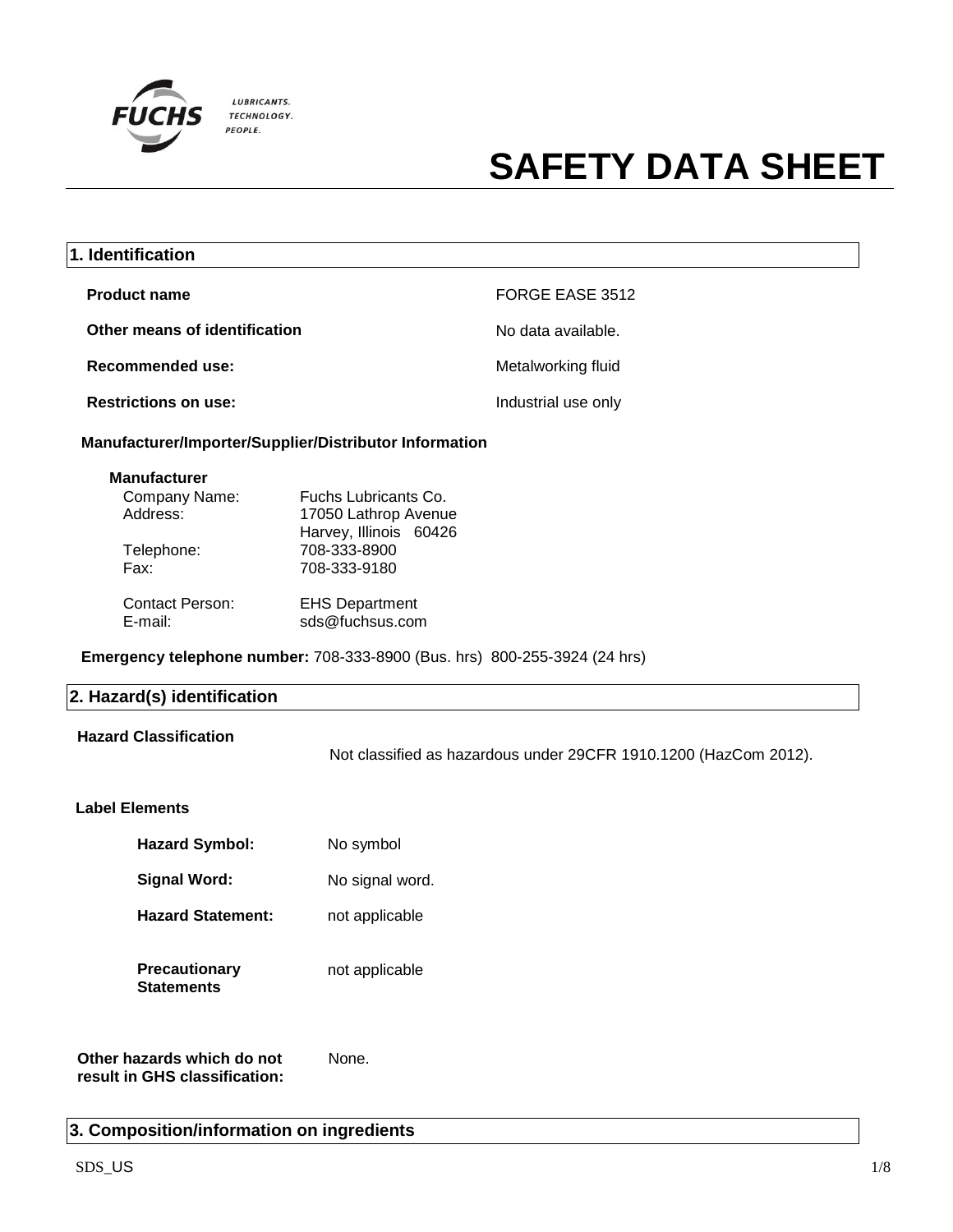

| 1. Identification                                                                                                                                                                               |                                                                                                                                                    |                                                                  |
|-------------------------------------------------------------------------------------------------------------------------------------------------------------------------------------------------|----------------------------------------------------------------------------------------------------------------------------------------------------|------------------------------------------------------------------|
| <b>Product name</b>                                                                                                                                                                             |                                                                                                                                                    | FORGE EASE 3512                                                  |
| Other means of identification                                                                                                                                                                   |                                                                                                                                                    | No data available.                                               |
| <b>Recommended use:</b>                                                                                                                                                                         |                                                                                                                                                    | Metalworking fluid                                               |
| <b>Restrictions on use:</b>                                                                                                                                                                     |                                                                                                                                                    | Industrial use only                                              |
| Manufacturer/Importer/Supplier/Distributor Information                                                                                                                                          |                                                                                                                                                    |                                                                  |
| <b>Manufacturer</b><br>Company Name:<br>Address:<br>Telephone:<br>Fax:<br><b>Contact Person:</b><br>E-mail:<br><b>Emergency telephone number: 708-333-8900 (Bus. hrs) 800-255-3924 (24 hrs)</b> | Fuchs Lubricants Co.<br>17050 Lathrop Avenue<br>Harvey, Illinois 60426<br>708-333-8900<br>708-333-9180<br><b>EHS Department</b><br>sds@fuchsus.com |                                                                  |
| 2. Hazard(s) identification                                                                                                                                                                     |                                                                                                                                                    |                                                                  |
| <b>Hazard Classification</b>                                                                                                                                                                    |                                                                                                                                                    | Not classified as hazardous under 29CFR 1910.1200 (HazCom 2012). |
| <b>Label Elements</b>                                                                                                                                                                           |                                                                                                                                                    |                                                                  |
| <b>Hazard Symbol:</b>                                                                                                                                                                           | No symbol                                                                                                                                          |                                                                  |
| <b>Signal Word:</b>                                                                                                                                                                             | No signal word.                                                                                                                                    |                                                                  |
| <b>Hazard Statement:</b>                                                                                                                                                                        | not applicable                                                                                                                                     |                                                                  |
| <b>Precautionary</b><br><b>Statements</b>                                                                                                                                                       | not applicable                                                                                                                                     |                                                                  |
| Other hazards which do not<br>result in GHS classification:                                                                                                                                     | None.                                                                                                                                              |                                                                  |

## **3. Composition/information on ingredients**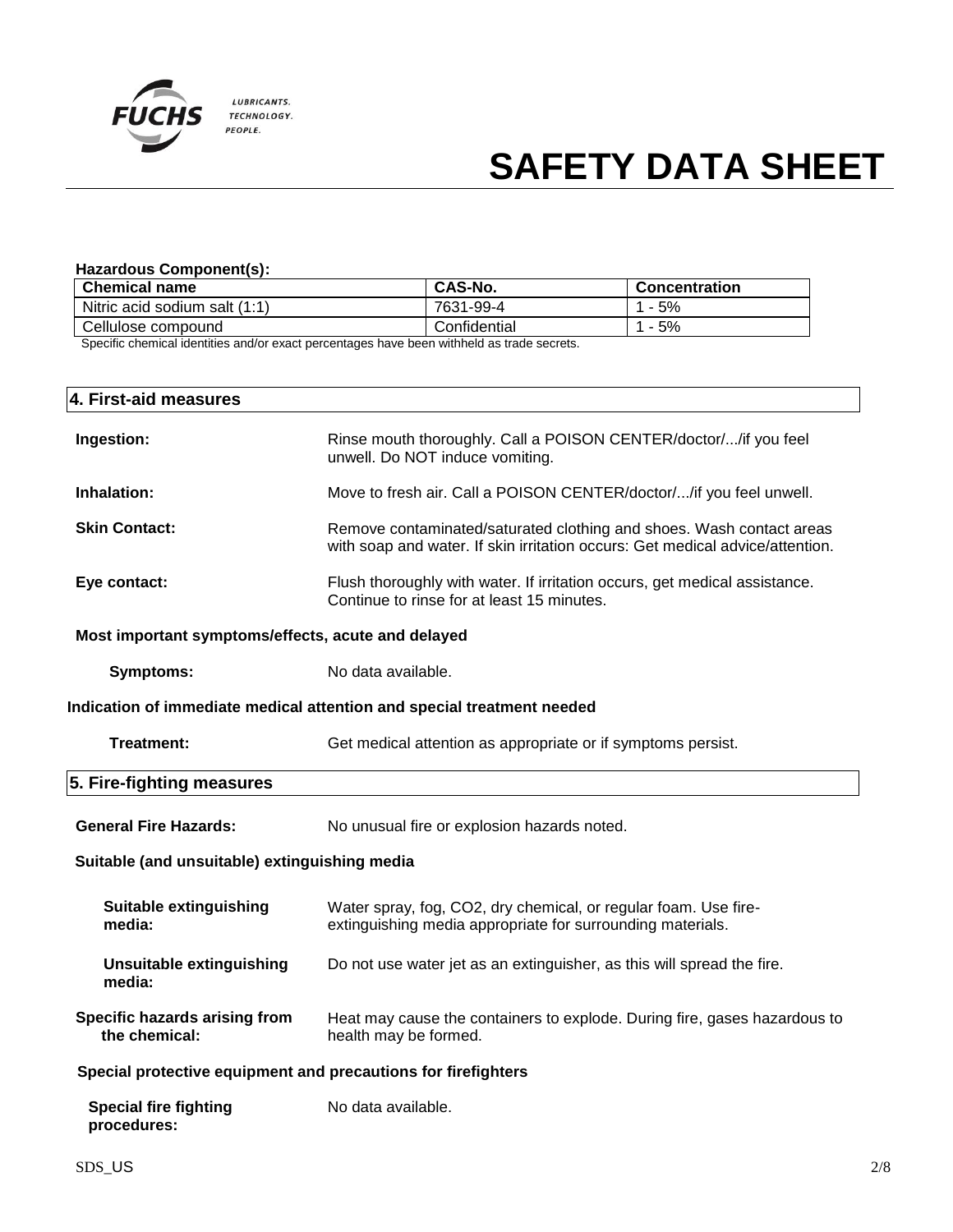

### **Hazardous Component(s):**

| CAS-No.      | <b>Concentration</b> |
|--------------|----------------------|
| 7631-99-4    | 1 - 5%               |
| Confidential | 1 - 5%               |
|              | .                    |

Specific chemical identities and/or exact percentages have been withheld as trade secrets.

| 4. First-aid measures                                         |                                                                                                                                                       |  |
|---------------------------------------------------------------|-------------------------------------------------------------------------------------------------------------------------------------------------------|--|
| Ingestion:                                                    | Rinse mouth thoroughly. Call a POISON CENTER/doctor//if you feel<br>unwell. Do NOT induce vomiting.                                                   |  |
| Inhalation:                                                   | Move to fresh air. Call a POISON CENTER/doctor//if you feel unwell.                                                                                   |  |
| <b>Skin Contact:</b>                                          | Remove contaminated/saturated clothing and shoes. Wash contact areas<br>with soap and water. If skin irritation occurs: Get medical advice/attention. |  |
| Eye contact:                                                  | Flush thoroughly with water. If irritation occurs, get medical assistance.<br>Continue to rinse for at least 15 minutes.                              |  |
| Most important symptoms/effects, acute and delayed            |                                                                                                                                                       |  |
| <b>Symptoms:</b>                                              | No data available.                                                                                                                                    |  |
|                                                               | Indication of immediate medical attention and special treatment needed                                                                                |  |
| <b>Treatment:</b>                                             | Get medical attention as appropriate or if symptoms persist.                                                                                          |  |
| 5. Fire-fighting measures                                     |                                                                                                                                                       |  |
| <b>General Fire Hazards:</b>                                  | No unusual fire or explosion hazards noted.                                                                                                           |  |
| Suitable (and unsuitable) extinguishing media                 |                                                                                                                                                       |  |
| <b>Suitable extinguishing</b><br>media:                       | Water spray, fog, CO2, dry chemical, or regular foam. Use fire-<br>extinguishing media appropriate for surrounding materials.                         |  |
| <b>Unsuitable extinguishing</b><br>media:                     | Do not use water jet as an extinguisher, as this will spread the fire.                                                                                |  |
| Specific hazards arising from<br>the chemical:                | Heat may cause the containers to explode. During fire, gases hazardous to<br>health may be formed.                                                    |  |
| Special protective equipment and precautions for firefighters |                                                                                                                                                       |  |
| <b>Special fire fighting</b><br>procedures:                   | No data available.                                                                                                                                    |  |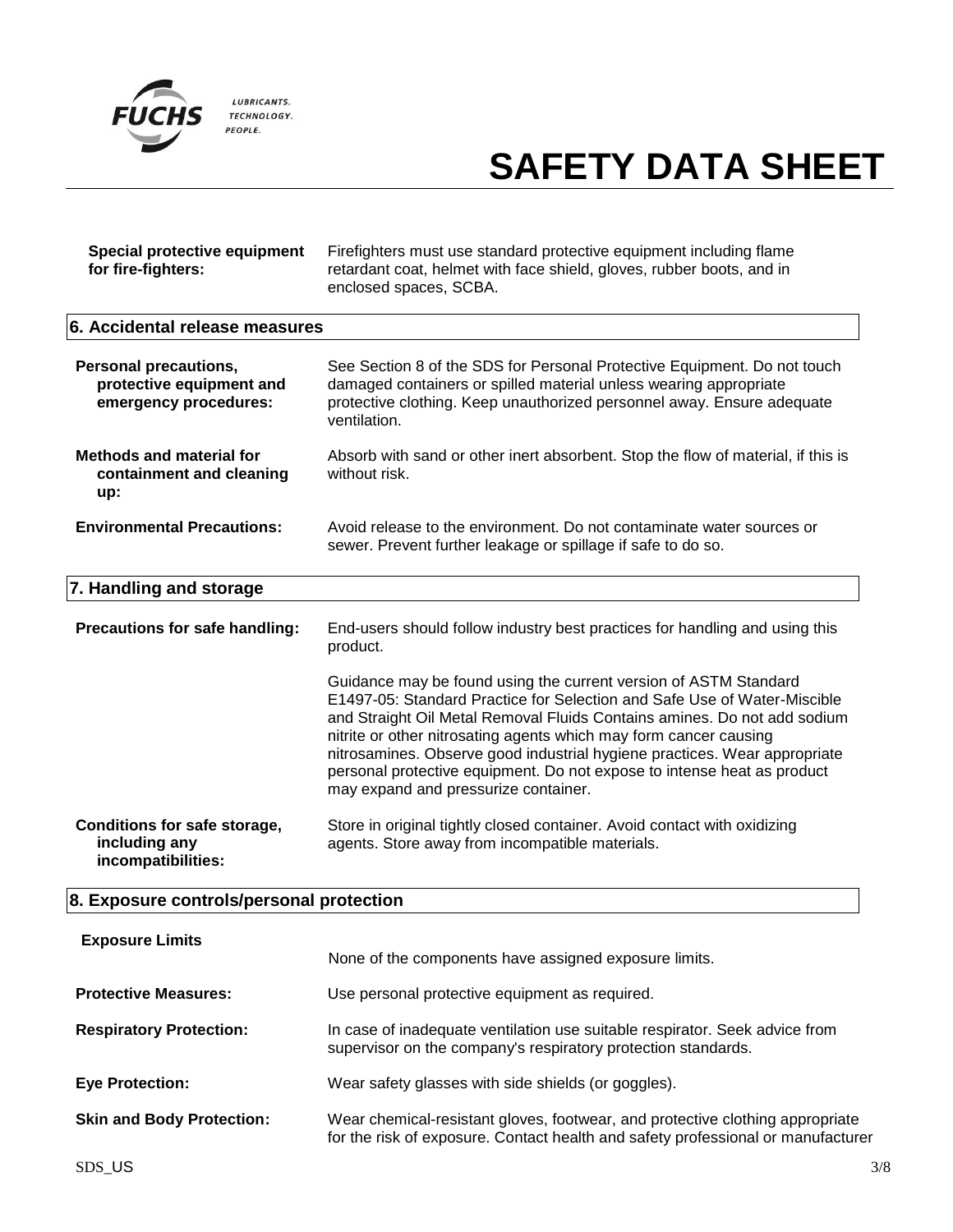

| Special protective equipment<br>for fire-fighters:                                | Firefighters must use standard protective equipment including flame<br>retardant coat, helmet with face shield, gloves, rubber boots, and in<br>enclosed spaces, SCBA.                                                                                                                                                                                                                                                                                                                        |  |
|-----------------------------------------------------------------------------------|-----------------------------------------------------------------------------------------------------------------------------------------------------------------------------------------------------------------------------------------------------------------------------------------------------------------------------------------------------------------------------------------------------------------------------------------------------------------------------------------------|--|
| 6. Accidental release measures                                                    |                                                                                                                                                                                                                                                                                                                                                                                                                                                                                               |  |
| <b>Personal precautions,</b><br>protective equipment and<br>emergency procedures: | See Section 8 of the SDS for Personal Protective Equipment. Do not touch<br>damaged containers or spilled material unless wearing appropriate<br>protective clothing. Keep unauthorized personnel away. Ensure adequate<br>ventilation.                                                                                                                                                                                                                                                       |  |
| <b>Methods and material for</b><br>containment and cleaning<br>up:                | Absorb with sand or other inert absorbent. Stop the flow of material, if this is<br>without risk.                                                                                                                                                                                                                                                                                                                                                                                             |  |
| <b>Environmental Precautions:</b>                                                 | Avoid release to the environment. Do not contaminate water sources or<br>sewer. Prevent further leakage or spillage if safe to do so.                                                                                                                                                                                                                                                                                                                                                         |  |
| 7. Handling and storage                                                           |                                                                                                                                                                                                                                                                                                                                                                                                                                                                                               |  |
| Precautions for safe handling:                                                    | End-users should follow industry best practices for handling and using this<br>product.                                                                                                                                                                                                                                                                                                                                                                                                       |  |
|                                                                                   | Guidance may be found using the current version of ASTM Standard<br>E1497-05: Standard Practice for Selection and Safe Use of Water-Miscible<br>and Straight Oil Metal Removal Fluids Contains amines. Do not add sodium<br>nitrite or other nitrosating agents which may form cancer causing<br>nitrosamines. Observe good industrial hygiene practices. Wear appropriate<br>personal protective equipment. Do not expose to intense heat as product<br>may expand and pressurize container. |  |
| <b>Conditions for safe storage,</b><br>including any<br>incompatibilities:        | Store in original tightly closed container. Avoid contact with oxidizing<br>agents. Store away from incompatible materials.                                                                                                                                                                                                                                                                                                                                                                   |  |
| 8. Exposure controls/personal protection                                          |                                                                                                                                                                                                                                                                                                                                                                                                                                                                                               |  |
| <b>Exposure Limits</b>                                                            | None of the components have assigned exposure limits.                                                                                                                                                                                                                                                                                                                                                                                                                                         |  |
| <b>Protective Measures:</b>                                                       | Use personal protective equipment as required.                                                                                                                                                                                                                                                                                                                                                                                                                                                |  |
| <b>Respiratory Protection:</b>                                                    | In case of inadequate ventilation use suitable respirator. Seek advice from<br>supervisor on the company's respiratory protection standards.                                                                                                                                                                                                                                                                                                                                                  |  |
| <b>Eye Protection:</b>                                                            | Wear safety glasses with side shields (or goggles).                                                                                                                                                                                                                                                                                                                                                                                                                                           |  |
| <b>Skin and Body Protection:</b>                                                  | Wear chemical-resistant gloves, footwear, and protective clothing appropriate<br>for the risk of exposure. Contact health and safety professional or manufacturer                                                                                                                                                                                                                                                                                                                             |  |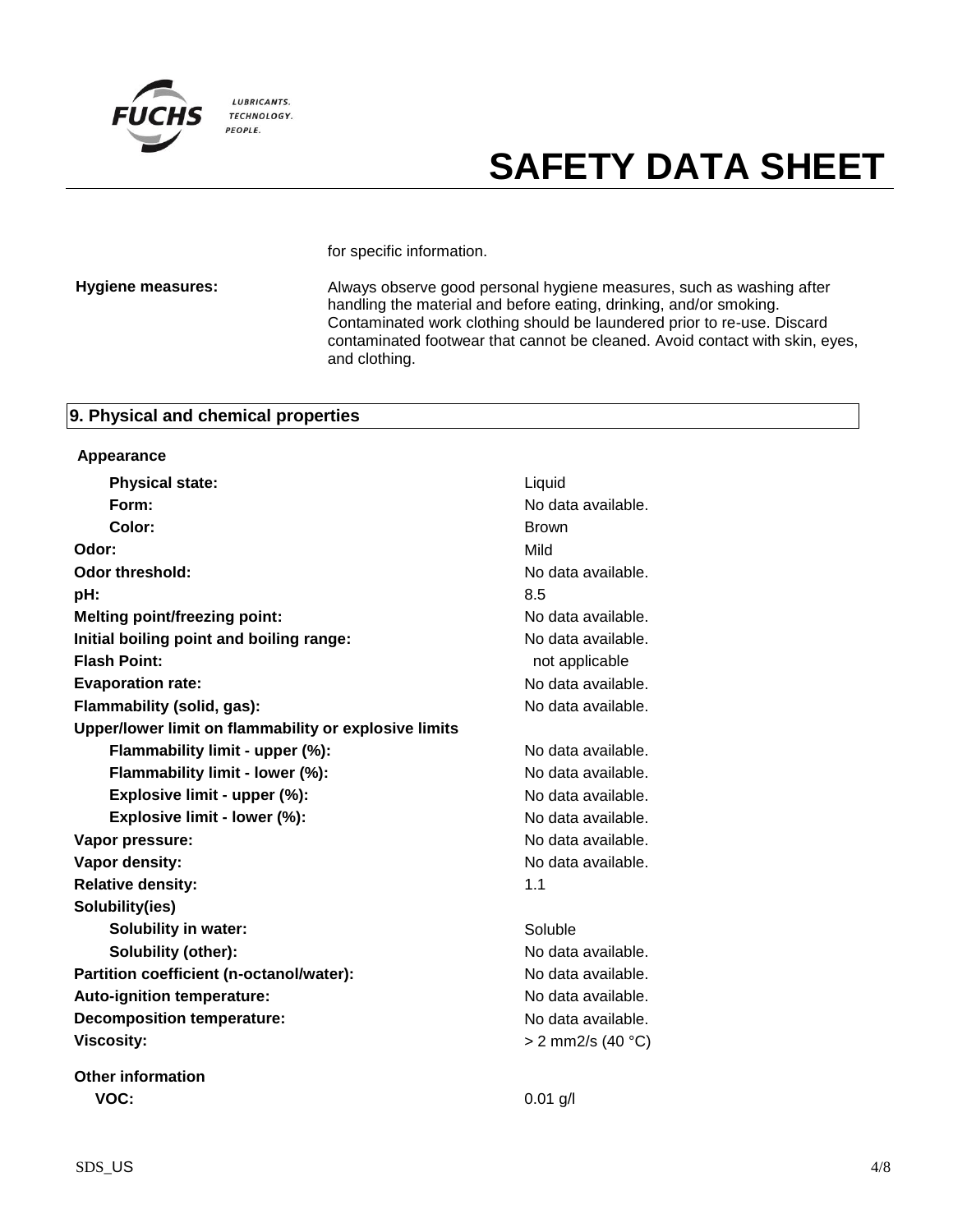

for specific information.

**Hygiene measures:** Always observe good personal hygiene measures, such as washing after handling the material and before eating, drinking, and/or smoking. Contaminated work clothing should be laundered prior to re-use. Discard contaminated footwear that cannot be cleaned. Avoid contact with skin, eyes, and clothing.

### **9. Physical and chemical properties**

| Appearance                                            |                     |
|-------------------------------------------------------|---------------------|
| <b>Physical state:</b>                                | Liquid              |
| Form:                                                 | No data available.  |
| Color:                                                | <b>Brown</b>        |
| Odor:                                                 | Mild                |
| <b>Odor threshold:</b>                                | No data available.  |
| pH:                                                   | 8.5                 |
| <b>Melting point/freezing point:</b>                  | No data available.  |
| Initial boiling point and boiling range:              | No data available.  |
| <b>Flash Point:</b>                                   | not applicable      |
| <b>Evaporation rate:</b>                              | No data available.  |
| Flammability (solid, gas):                            | No data available.  |
| Upper/lower limit on flammability or explosive limits |                     |
| Flammability limit - upper (%):                       | No data available.  |
| Flammability limit - lower (%):                       | No data available.  |
| Explosive limit - upper (%):                          | No data available.  |
| Explosive limit - lower (%):                          | No data available.  |
| Vapor pressure:                                       | No data available.  |
| Vapor density:                                        | No data available.  |
| <b>Relative density:</b>                              | 1.1                 |
| Solubility(ies)                                       |                     |
| <b>Solubility in water:</b>                           | Soluble             |
| Solubility (other):                                   | No data available.  |
| Partition coefficient (n-octanol/water):              | No data available.  |
| Auto-ignition temperature:                            | No data available.  |
| <b>Decomposition temperature:</b>                     | No data available.  |
| <b>Viscosity:</b>                                     | $> 2$ mm2/s (40 °C) |
| <b>Other information</b>                              |                     |
| VOC:                                                  | $0.01$ g/l          |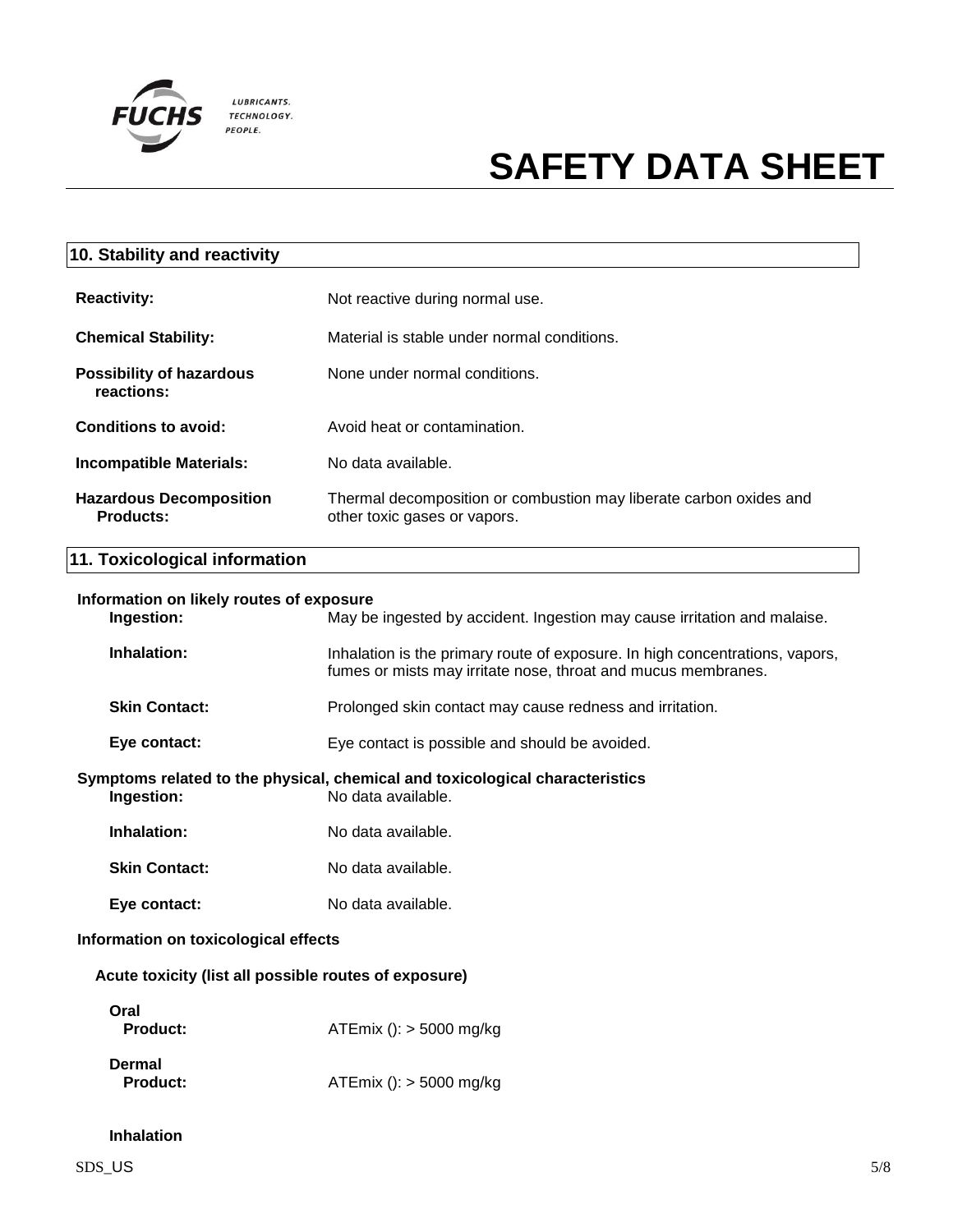

| 10. Stability and reactivity                  |                                                                                                    |
|-----------------------------------------------|----------------------------------------------------------------------------------------------------|
| <b>Reactivity:</b>                            | Not reactive during normal use.                                                                    |
| <b>Chemical Stability:</b>                    | Material is stable under normal conditions.                                                        |
| <b>Possibility of hazardous</b><br>reactions: | None under normal conditions.                                                                      |
| Conditions to avoid:                          | Avoid heat or contamination.                                                                       |
| <b>Incompatible Materials:</b>                | No data available.                                                                                 |
| <b>Hazardous Decomposition</b><br>Products:   | Thermal decomposition or combustion may liberate carbon oxides and<br>other toxic gases or vapors. |

## **11. Toxicological information**

|                                                                                                                  | Information on likely routes of exposure<br>Ingestion:<br>May be ingested by accident. Ingestion may cause irritation and malaise. |                                                                                                                                               |  |
|------------------------------------------------------------------------------------------------------------------|------------------------------------------------------------------------------------------------------------------------------------|-----------------------------------------------------------------------------------------------------------------------------------------------|--|
|                                                                                                                  | Inhalation:                                                                                                                        | Inhalation is the primary route of exposure. In high concentrations, vapors,<br>fumes or mists may irritate nose, throat and mucus membranes. |  |
|                                                                                                                  | <b>Skin Contact:</b>                                                                                                               | Prolonged skin contact may cause redness and irritation.                                                                                      |  |
|                                                                                                                  | Eye contact:                                                                                                                       | Eye contact is possible and should be avoided.                                                                                                |  |
| Symptoms related to the physical, chemical and toxicological characteristics<br>Ingestion:<br>No data available. |                                                                                                                                    |                                                                                                                                               |  |
|                                                                                                                  | Inhalation:                                                                                                                        | No data available.                                                                                                                            |  |
|                                                                                                                  | <b>Skin Contact:</b>                                                                                                               | No data available.                                                                                                                            |  |
|                                                                                                                  | Eye contact:                                                                                                                       | No data available.                                                                                                                            |  |
| Information on toxicological effects                                                                             |                                                                                                                                    |                                                                                                                                               |  |
| Acute toxicity (list all possible routes of exposure)                                                            |                                                                                                                                    |                                                                                                                                               |  |
|                                                                                                                  | Oral<br>Product:                                                                                                                   | ATEmix (): $>$ 5000 mg/kg                                                                                                                     |  |
|                                                                                                                  | Dermal<br>Product:                                                                                                                 | $ATEmix$ (): $>$ 5000 mg/kg                                                                                                                   |  |
|                                                                                                                  |                                                                                                                                    |                                                                                                                                               |  |

### **Inhalation**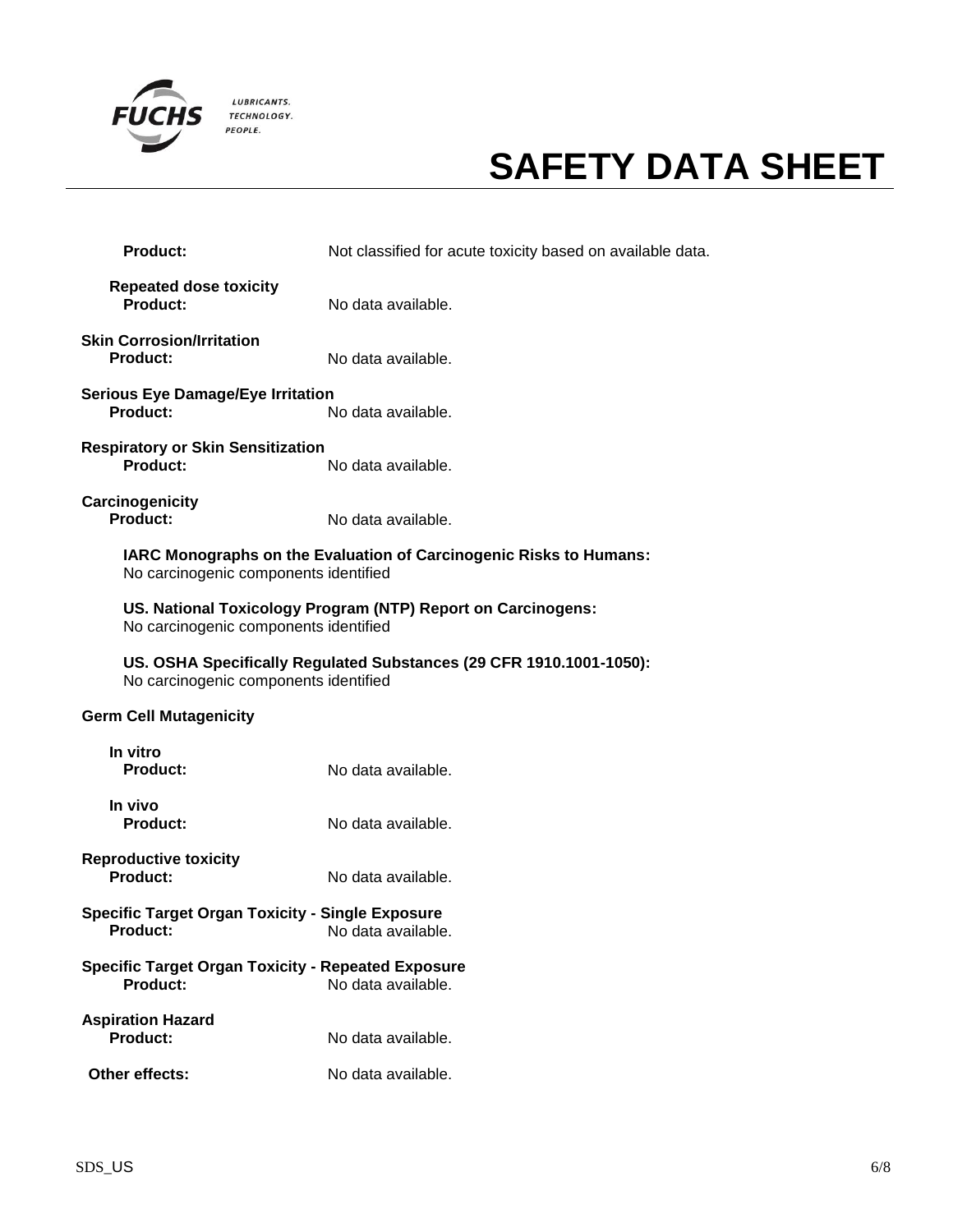

| Product:                                                                                              | Not classified for acute toxicity based on available data.          |  |
|-------------------------------------------------------------------------------------------------------|---------------------------------------------------------------------|--|
| <b>Repeated dose toxicity</b><br>Product:                                                             | No data available.                                                  |  |
| <b>Skin Corrosion/Irritation</b><br>Product:                                                          | No data available.                                                  |  |
| <b>Serious Eye Damage/Eye Irritation</b><br>Product:                                                  | No data available.                                                  |  |
| <b>Respiratory or Skin Sensitization</b><br>Product:                                                  | No data available.                                                  |  |
| Carcinogenicity<br><b>Product:</b>                                                                    | No data available.                                                  |  |
| No carcinogenic components identified                                                                 | IARC Monographs on the Evaluation of Carcinogenic Risks to Humans:  |  |
| US. National Toxicology Program (NTP) Report on Carcinogens:<br>No carcinogenic components identified |                                                                     |  |
| No carcinogenic components identified                                                                 | US. OSHA Specifically Regulated Substances (29 CFR 1910.1001-1050): |  |
| <b>Germ Cell Mutagenicity</b>                                                                         |                                                                     |  |
| In vitro<br><b>Product:</b>                                                                           | No data available.                                                  |  |
| In vivo<br><b>Product:</b>                                                                            | No data available.                                                  |  |
| <b>Reproductive toxicity</b><br><b>Product:</b>                                                       | No data available.                                                  |  |
| <b>Specific Target Organ Toxicity - Single Exposure</b><br><b>Product:</b>                            | No data available.                                                  |  |
| <b>Specific Target Organ Toxicity - Repeated Exposure</b><br><b>Product:</b>                          | No data available.                                                  |  |
| <b>Aspiration Hazard</b><br>Product:                                                                  | No data available.                                                  |  |
| Other effects:                                                                                        | No data available.                                                  |  |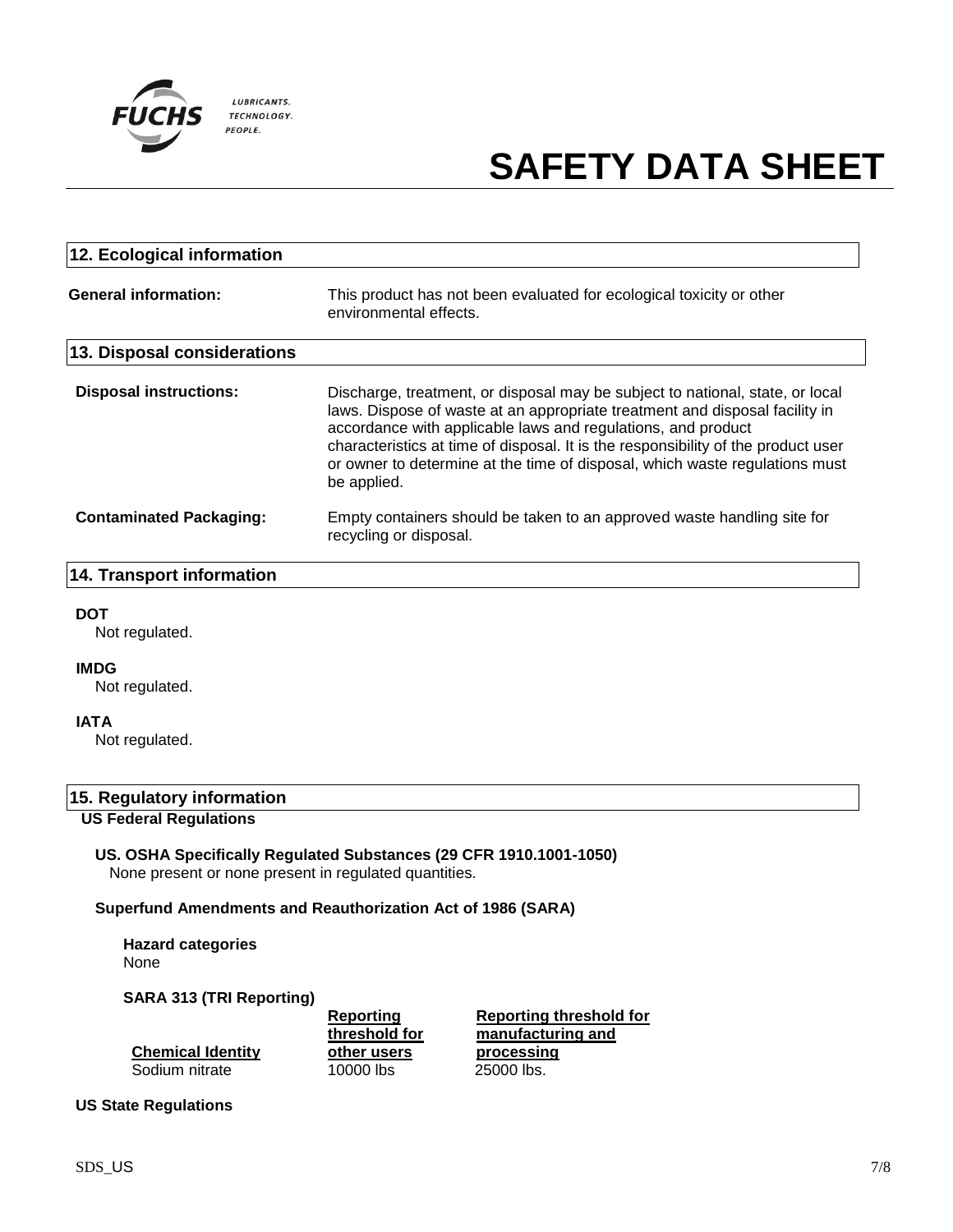

| 12. Ecological information     |                                                                                                                                                                                                                                                                                                                                                                                                                 |
|--------------------------------|-----------------------------------------------------------------------------------------------------------------------------------------------------------------------------------------------------------------------------------------------------------------------------------------------------------------------------------------------------------------------------------------------------------------|
| <b>General information:</b>    | This product has not been evaluated for ecological toxicity or other<br>environmental effects.                                                                                                                                                                                                                                                                                                                  |
| 13. Disposal considerations    |                                                                                                                                                                                                                                                                                                                                                                                                                 |
| <b>Disposal instructions:</b>  | Discharge, treatment, or disposal may be subject to national, state, or local<br>laws. Dispose of waste at an appropriate treatment and disposal facility in<br>accordance with applicable laws and regulations, and product<br>characteristics at time of disposal. It is the responsibility of the product user<br>or owner to determine at the time of disposal, which waste regulations must<br>be applied. |
| <b>Contaminated Packaging:</b> | Empty containers should be taken to an approved waste handling site for<br>recycling or disposal.                                                                                                                                                                                                                                                                                                               |

### **14. Transport information**

#### **DOT**

Not regulated.

### **IMDG**

Not regulated.

#### **IATA**

Not regulated.

### **15. Regulatory information**

### **US Federal Regulations**

**US. OSHA Specifically Regulated Substances (29 CFR 1910.1001-1050)** None present or none present in regulated quantities.

### **Superfund Amendments and Reauthorization Act of 1986 (SARA)**

**Hazard categories** None

#### **SARA 313 (TRI Reporting)**

|                          | Reporting     | Reporting threshold for |
|--------------------------|---------------|-------------------------|
|                          | threshold for | manufacturing and       |
| <b>Chemical Identity</b> | other users   | processing              |
| Sodium nitrate           | 10000 lbs     | 25000 lbs.              |

### **US State Regulations**